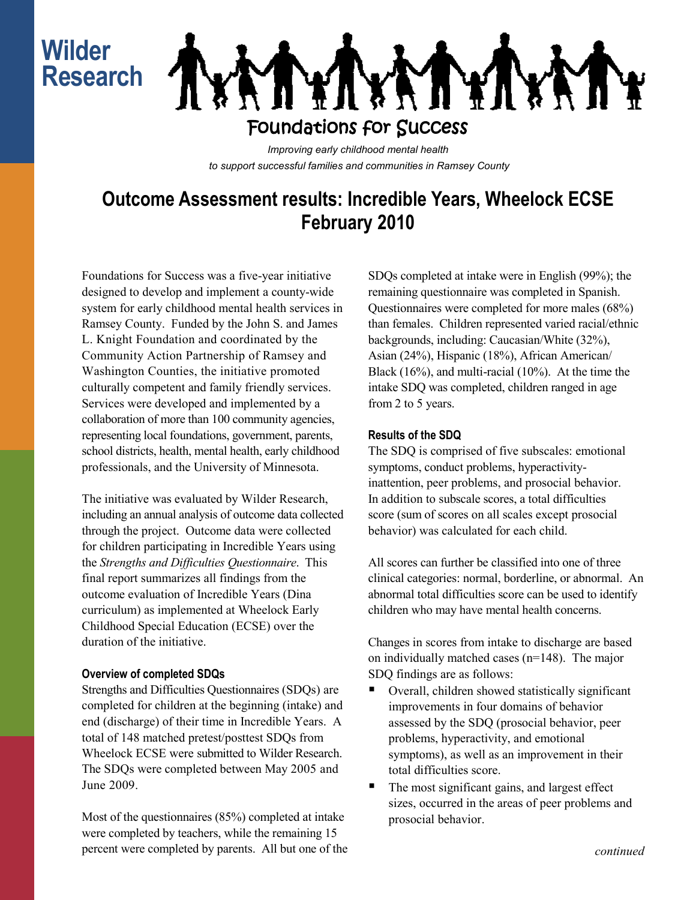# **Wilder Research**



*Improving early childhood mental health to support successful families and communities in Ramsey County*

## **Outcome Assessment results: Incredible Years, Wheelock ECSE February 2010**

Foundations for Success was a five-year initiative designed to develop and implement a county-wide system for early childhood mental health services in Ramsey County. Funded by the John S. and James L. Knight Foundation and coordinated by the Community Action Partnership of Ramsey and Washington Counties, the initiative promoted culturally competent and family friendly services. Services were developed and implemented by a collaboration of more than 100 community agencies, representing local foundations, government, parents, school districts, health, mental health, early childhood professionals, and the University of Minnesota.

The initiative was evaluated by Wilder Research, including an annual analysis of outcome data collected through the project. Outcome data were collected for children participating in Incredible Years using the *Strengths and Difficulties Questionnaire*. This final report summarizes all findings from the outcome evaluation of Incredible Years (Dina curriculum) as implemented at Wheelock Early Childhood Special Education (ECSE) over the duration of the initiative.

#### **Overview of completed SDQs**

Strengths and Difficulties Questionnaires (SDQs) are completed for children at the beginning (intake) and end (discharge) of their time in Incredible Years. A total of 148 matched pretest/posttest SDQs from Wheelock ECSE were submitted to Wilder Research. The SDQs were completed between May 2005 and June 2009.

Most of the questionnaires (85%) completed at intake were completed by teachers, while the remaining 15 percent were completed by parents. All but one of the SDQs completed at intake were in English (99%); the remaining questionnaire was completed in Spanish. Questionnaires were completed for more males (68%) than females. Children represented varied racial/ethnic backgrounds, including: Caucasian/White (32%), Asian (24%), Hispanic (18%), African American/ Black (16%), and multi-racial (10%). At the time the intake SDQ was completed, children ranged in age from 2 to 5 years.

### **Results of the SDQ**

The SDQ is comprised of five subscales: emotional symptoms, conduct problems, hyperactivityinattention, peer problems, and prosocial behavior. In addition to subscale scores, a total difficulties score (sum of scores on all scales except prosocial behavior) was calculated for each child.

All scores can further be classified into one of three clinical categories: normal, borderline, or abnormal. An abnormal total difficulties score can be used to identify children who may have mental health concerns.

Changes in scores from intake to discharge are based on individually matched cases (n=148). The major SDQ findings are as follows:

- Overall, children showed statistically significant improvements in four domains of behavior assessed by the SDQ (prosocial behavior, peer problems, hyperactivity, and emotional symptoms), as well as an improvement in their total difficulties score.
- The most significant gains, and largest effect sizes, occurred in the areas of peer problems and prosocial behavior.